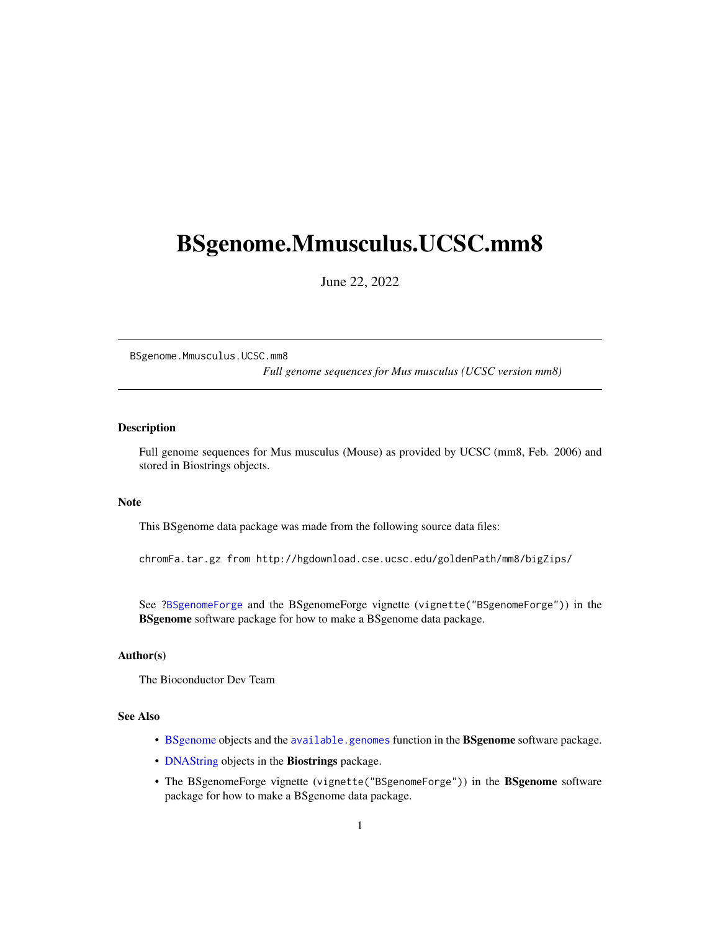# <span id="page-0-0"></span>BSgenome.Mmusculus.UCSC.mm8

June 22, 2022

BSgenome.Mmusculus.UCSC.mm8

*Full genome sequences for Mus musculus (UCSC version mm8)*

## Description

Full genome sequences for Mus musculus (Mouse) as provided by UCSC (mm8, Feb. 2006) and stored in Biostrings objects.

#### Note

This BSgenome data package was made from the following source data files:

chromFa.tar.gz from http://hgdownload.cse.ucsc.edu/goldenPath/mm8/bigZips/

See ?BSgenomeForge and the BSgenomeForge vignette (vignette("BSgenomeForge")) in the BSgenome software package for how to make a BSgenome data package.

# Author(s)

The Bioconductor Dev Team

# See Also

- BSgenome objects and the available.genomes function in the BSgenome software package.
- DNAString objects in the Biostrings package.
- The BSgenomeForge vignette (vignette("BSgenomeForge")) in the BSgenome software package for how to make a BSgenome data package.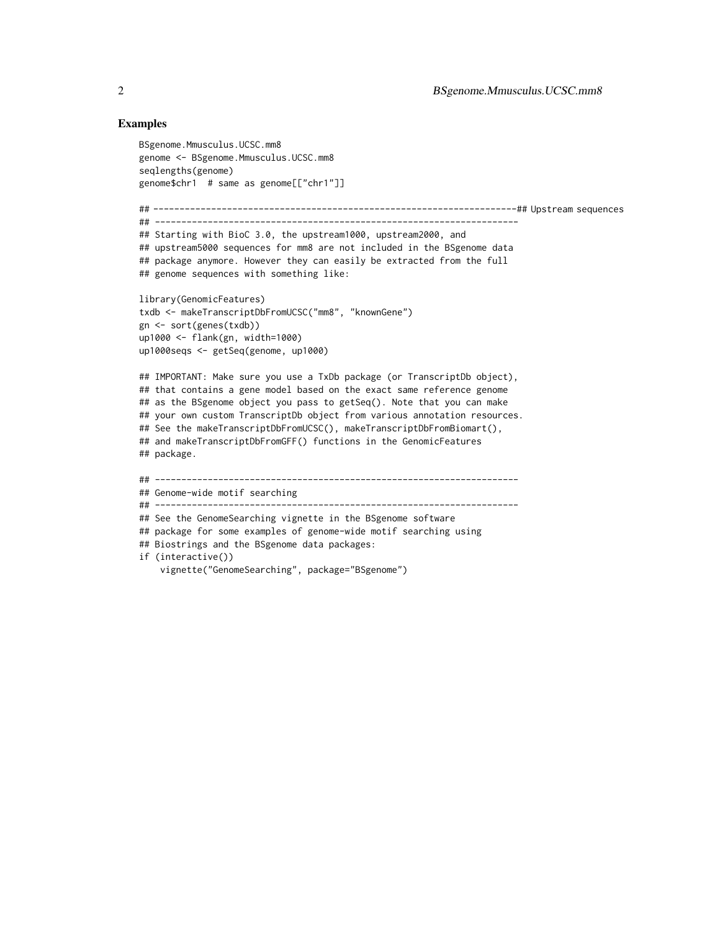### Examples

```
BSgenome.Mmusculus.UCSC.mm8
genome <- BSgenome.Mmusculus.UCSC.mm8
seqlengths(genome)
genome$chr1 # same as genome[["chr1"]]
## ---------------------------------------------------------------------## Upstream sequences
## ---------------------------------------------------------------------
## Starting with BioC 3.0, the upstream1000, upstream2000, and
## upstream5000 sequences for mm8 are not included in the BSgenome data
## package anymore. However they can easily be extracted from the full
## genome sequences with something like:
library(GenomicFeatures)
txdb <- makeTranscriptDbFromUCSC("mm8", "knownGene")
gn <- sort(genes(txdb))
up1000 <- flank(gn, width=1000)
up1000seqs <- getSeq(genome, up1000)
## IMPORTANT: Make sure you use a TxDb package (or TranscriptDb object),
## that contains a gene model based on the exact same reference genome
## as the BSgenome object you pass to getSeq(). Note that you can make
## your own custom TranscriptDb object from various annotation resources.
## See the makeTranscriptDbFromUCSC(), makeTranscriptDbFromBiomart(),
## and makeTranscriptDbFromGFF() functions in the GenomicFeatures
## package.
## ---------------------------------------------------------------------
## Genome-wide motif searching
## ---------------------------------------------------------------------
## See the GenomeSearching vignette in the BSgenome software
## package for some examples of genome-wide motif searching using
## Biostrings and the BSgenome data packages:
if (interactive())
    vignette("GenomeSearching", package="BSgenome")
```